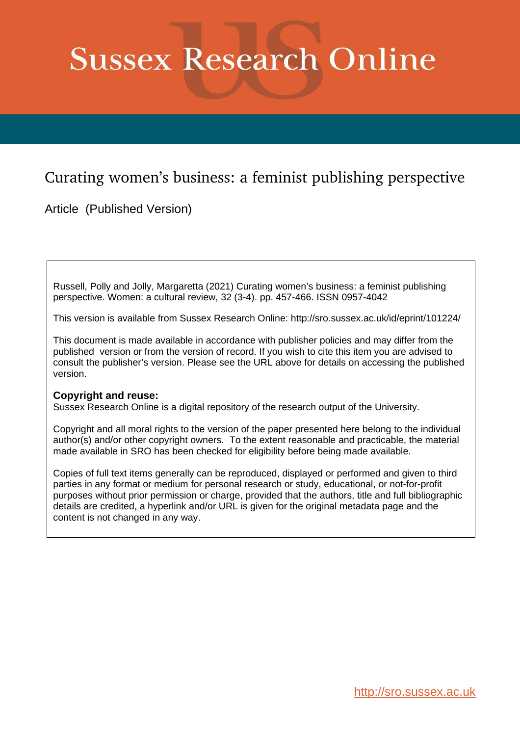# **Sussex Research Online**

## Curating women's business: a feminist publishing perspective

Article (Published Version)

Russell, Polly and Jolly, Margaretta (2021) Curating women's business: a feminist publishing perspective. Women: a cultural review, 32 (3-4). pp. 457-466. ISSN 0957-4042

This version is available from Sussex Research Online: http://sro.sussex.ac.uk/id/eprint/101224/

This document is made available in accordance with publisher policies and may differ from the published version or from the version of record. If you wish to cite this item you are advised to consult the publisher's version. Please see the URL above for details on accessing the published version.

### **Copyright and reuse:**

Sussex Research Online is a digital repository of the research output of the University.

Copyright and all moral rights to the version of the paper presented here belong to the individual author(s) and/or other copyright owners. To the extent reasonable and practicable, the material made available in SRO has been checked for eligibility before being made available.

Copies of full text items generally can be reproduced, displayed or performed and given to third parties in any format or medium for personal research or study, educational, or not-for-profit purposes without prior permission or charge, provided that the authors, title and full bibliographic details are credited, a hyperlink and/or URL is given for the original metadata page and the content is not changed in any way.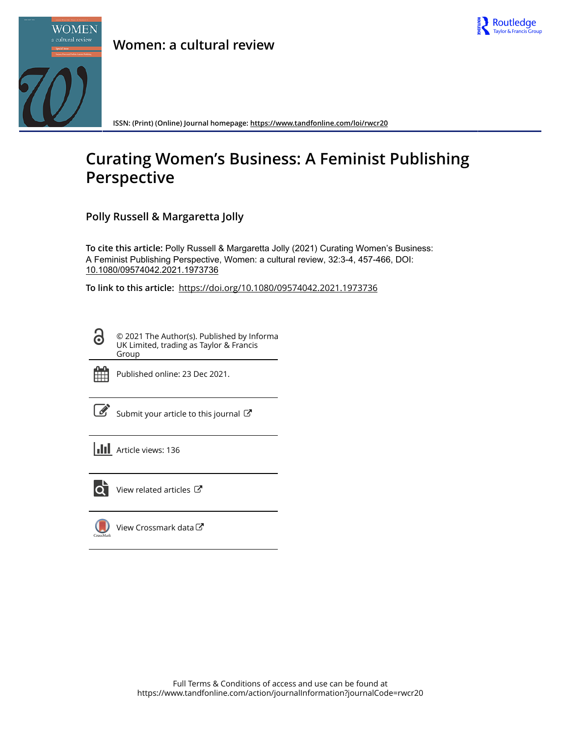



**ISSN: (Print) (Online) Journal homepage:<https://www.tandfonline.com/loi/rwcr20>**

## **Curating Women's Business: A Feminist Publishing Perspective**

**Polly Russell & Margaretta Jolly**

**To cite this article:** Polly Russell & Margaretta Jolly (2021) Curating Women's Business: A Feminist Publishing Perspective, Women: a cultural review, 32:3-4, 457-466, DOI: [10.1080/09574042.2021.1973736](https://www.tandfonline.com/action/showCitFormats?doi=10.1080/09574042.2021.1973736)

**To link to this article:** <https://doi.org/10.1080/09574042.2021.1973736>

© 2021 The Author(s). Published by Informa UK Limited, trading as Taylor & Francis Group



ര

Published online: 23 Dec 2021.

[Submit your article to this journal](https://www.tandfonline.com/action/authorSubmission?journalCode=rwcr20&show=instructions)  $\mathbb{Z}$ 

**III** Article views: 136



 $\overrightarrow{Q}$  [View related articles](https://www.tandfonline.com/doi/mlt/10.1080/09574042.2021.1973736)  $\overrightarrow{C}$ 

 $\bigcup$ [View Crossmark data](http://crossmark.crossref.org/dialog/?doi=10.1080/09574042.2021.1973736&domain=pdf&date_stamp=2021-12-23) $\mathbb{Z}$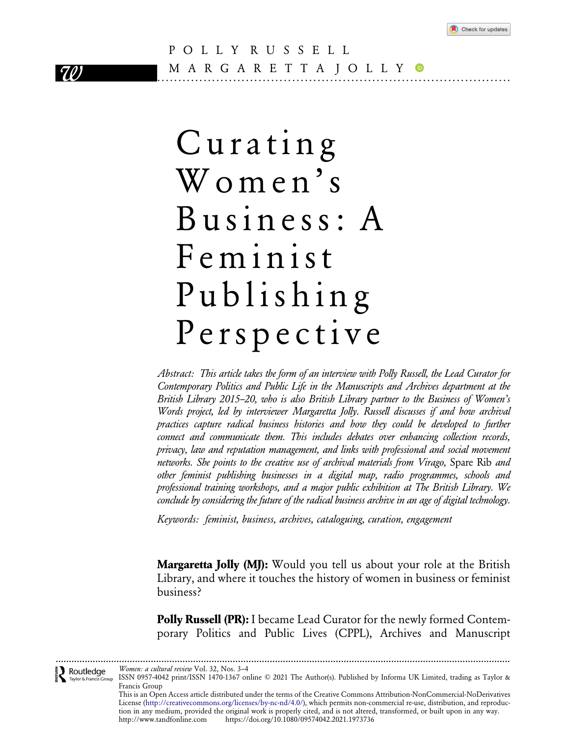

### POLLY RUSSELL 70 M A R G A R E T T A J O L L Y <sup>®</sup>

## Curating Women's Business: A Feminist Publishing Perspective

Abstract: This article takes the form of an interview with Polly Russell, the Lead Curator for Contemporary Politics and Public Life in the Manuscripts and Archives department at the British Library 2015–20, who is also British Library partner to the Business of Women's Words project, led by interviewer Margaretta Jolly. Russell discusses if and how archival practices capture radical business histories and how they could be developed to further connect and communicate them. This includes debates over enhancing collection records, privacy, law and reputation management, and links with professional and social movement networks. She points to the creative use of archival materials from Virago, Spare Rib and other feminist publishing businesses in a digital map, radio programmes, schools and professional training workshops, and a major public exhibition at The British Library. We conclude by considering the future of the radical business archive in an age of digital technology.

Keywords: feminist, business, archives, cataloguing, curation, engagement

**Margaretta Jolly (MJ):** Would you tell us about your role at the British Library, and where it touches the history of women in business or feminist business?

**Polly Russell (PR):** I became Lead Curator for the newly formed Contemporary Politics and Public Lives (CPPL), Archives and Manuscript

[......................](http://www.tandfonline.com)...................................................................................................................................................... Women: a cultural review Vol. 32, Nos. 3–4  $\sum_{\text{Taylor of Francis Gro}}$ ISSN 0957-4042 print/ISSN 1470-1367 online © 2021 The Author(s). Published by Informa UK Limited, trading as Taylor & Taylor & Francis Group Francis Group

This is an Open Access article distributed under the terms of the Creative Commons Attribution-NonCommercial-NoDerivatives License ([http://creativecommons.org/licenses/by-nc-nd/4.0/\)](http://creativecommons.org/licenses/by-nc-nd/4.0/), which permits non-commercial re-use, distribution, and reproduction in any medium, provided the original work is properly cited, and is not altered, transformed, or built upon in any way. http://www.tandfonline.com https://doi.org/10.1080/09574042.2021.1973736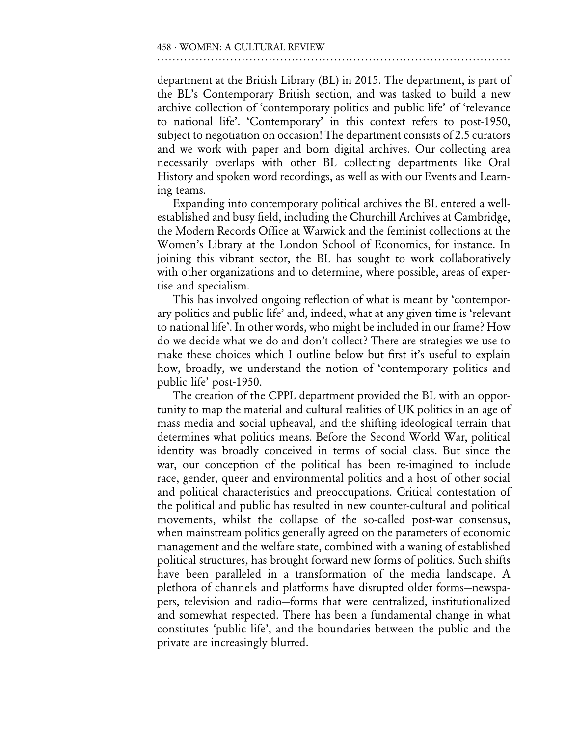department at the British Library (BL) in 2015. The department, is part of the BL's Contemporary British section, and was tasked to build a new archive collection of 'contemporary politics and public life' of 'relevance to national life'. 'Contemporary' in this context refers to post-1950, subject to negotiation on occasion! The department consists of 2.5 curators and we work with paper and born digital archives. Our collecting area necessarily overlaps with other BL collecting departments like Oral History and spoken word recordings, as well as with our Events and Learning teams.

Expanding into contemporary political archives the BL entered a wellestablished and busy field, including the Churchill Archives at Cambridge, the Modern Records Office at Warwick and the feminist collections at the Women's Library at the London School of Economics, for instance. In joining this vibrant sector, the BL has sought to work collaboratively with other organizations and to determine, where possible, areas of expertise and specialism.

This has involved ongoing reflection of what is meant by 'contemporary politics and public life' and, indeed, what at any given time is 'relevant to national life'. In other words, who might be included in our frame? How do we decide what we do and don't collect? There are strategies we use to make these choices which I outline below but first it's useful to explain how, broadly, we understand the notion of 'contemporary politics and public life' post-1950.

The creation of the CPPL department provided the BL with an opportunity to map the material and cultural realities of UK politics in an age of mass media and social upheaval, and the shifting ideological terrain that determines what politics means. Before the Second World War, political identity was broadly conceived in terms of social class. But since the war, our conception of the political has been re-imagined to include race, gender, queer and environmental politics and a host of other social and political characteristics and preoccupations. Critical contestation of the political and public has resulted in new counter-cultural and political movements, whilst the collapse of the so-called post-war consensus, when mainstream politics generally agreed on the parameters of economic management and the welfare state, combined with a waning of established political structures, has brought forward new forms of politics. Such shifts have been paralleled in a transformation of the media landscape. A plethora of channels and platforms have disrupted older forms—newspapers, television and radio—forms that were centralized, institutionalized and somewhat respected. There has been a fundamental change in what constitutes 'public life', and the boundaries between the public and the private are increasingly blurred.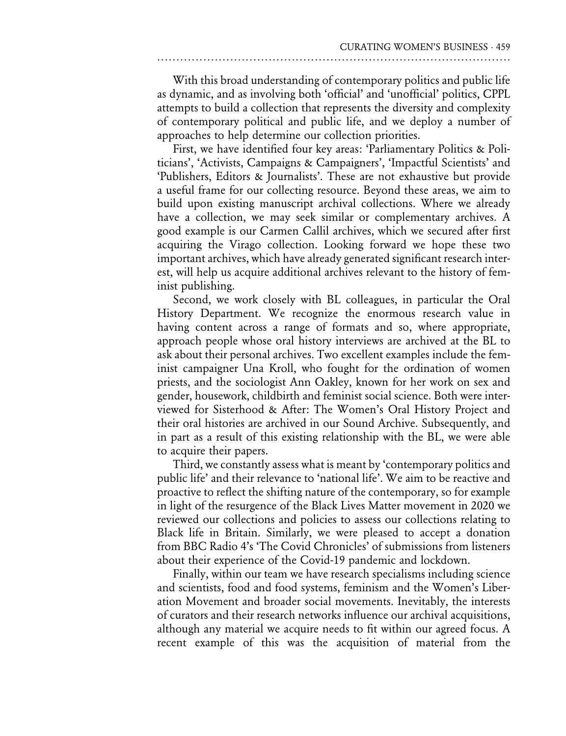With this broad understanding of contemporary politics and public life as dynamic, and as involving both 'official' and 'unofficial' politics, CPPL attempts to build a collection that represents the diversity and complexity of contemporary political and public life, and we deploy a number of approaches to help determine our collection priorities.

First, we have identified four key areas: 'Parliamentary Politics & Politicians', 'Activists, Campaigns & Campaigners', 'Impactful Scientists' and 'Publishers, Editors & Journalists'. These are not exhaustive but provide a useful frame for our collecting resource. Beyond these areas, we aim to build upon existing manuscript archival collections. Where we already have a collection, we may seek similar or complementary archives. A good example is our Carmen Callil archives, which we secured after first acquiring the Virago collection. Looking forward we hope these two important archives, which have already generated significant research interest, will help us acquire additional archives relevant to the history of feminist publishing.

Second, we work closely with BL colleagues, in particular the Oral History Department. We recognize the enormous research value in having content across a range of formats and so, where appropriate, approach people whose oral history interviews are archived at the BL to ask about their personal archives. Two excellent examples include the feminist campaigner Una Kroll, who fought for the ordination of women priests, and the sociologist Ann Oakley, known for her work on sex and gender, housework, childbirth and feminist social science. Both were interviewed for Sisterhood & After: The Women's Oral History Project and their oral histories are archived in our Sound Archive. Subsequently, and in part as a result of this existing relationship with the BL, we were able to acquire their papers.

Third, we constantly assess what is meant by 'contemporary politics and public life' and their relevance to 'national life'. We aim to be reactive and proactive to reflect the shifting nature of the contemporary, so for example in light of the resurgence of the Black Lives Matter movement in 2020 we reviewed our collections and policies to assess our collections relating to Black life in Britain. Similarly, we were pleased to accept a donation from BBC Radio 4's 'The Covid Chronicles' of submissions from listeners about their experience of the Covid-19 pandemic and lockdown.

Finally, within our team we have research specialisms including science and scientists, food and food systems, feminism and the Women's Liberation Movement and broader social movements. Inevitably, the interests of curators and their research networks influence our archival acquisitions, although any material we acquire needs to fit within our agreed focus. A recent example of this was the acquisition of material from the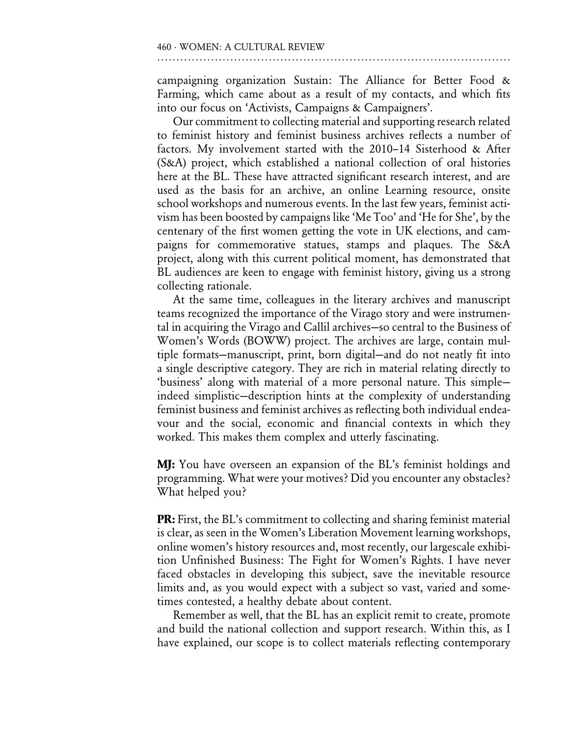campaigning organization Sustain: The Alliance for Better Food & Farming, which came about as a result of my contacts, and which fits into our focus on 'Activists, Campaigns & Campaigners'.

Our commitment to collecting material and supporting research related to feminist history and feminist business archives reflects a number of factors. My involvement started with the 2010–14 Sisterhood & After (S&A) project, which established a national collection of oral histories here at the BL. These have attracted significant research interest, and are used as the basis for an archive, an online Learning resource, onsite school workshops and numerous events. In the last few years, feminist activism has been boosted by campaigns like 'Me Too' and 'He for She', by the centenary of the first women getting the vote in UK elections, and campaigns for commemorative statues, stamps and plaques. The S&A project, along with this current political moment, has demonstrated that BL audiences are keen to engage with feminist history, giving us a strong collecting rationale.

At the same time, colleagues in the literary archives and manuscript teams recognized the importance of the Virago story and were instrumental in acquiring the Virago and Callil archives—so central to the Business of Women's Words (BOWW) project. The archives are large, contain multiple formats—manuscript, print, born digital—and do not neatly fit into a single descriptive category. They are rich in material relating directly to 'business' along with material of a more personal nature. This simple indeed simplistic—description hints at the complexity of understanding feminist business and feminist archives as reflecting both individual endeavour and the social, economic and financial contexts in which they worked. This makes them complex and utterly fascinating.

**MJ:** You have overseen an expansion of the BL's feminist holdings and programming. What were your motives? Did you encounter any obstacles? What helped you?

**PR:** First, the BL's commitment to collecting and sharing feminist material is clear, as seen in the Women's Liberation Movement learning workshops, online women's history resources and, most recently, our largescale exhibition Unfinished Business: The Fight for Women's Rights. I have never faced obstacles in developing this subject, save the inevitable resource limits and, as you would expect with a subject so vast, varied and sometimes contested, a healthy debate about content.

Remember as well, that the BL has an explicit remit to create, promote and build the national collection and support research. Within this, as I have explained, our scope is to collect materials reflecting contemporary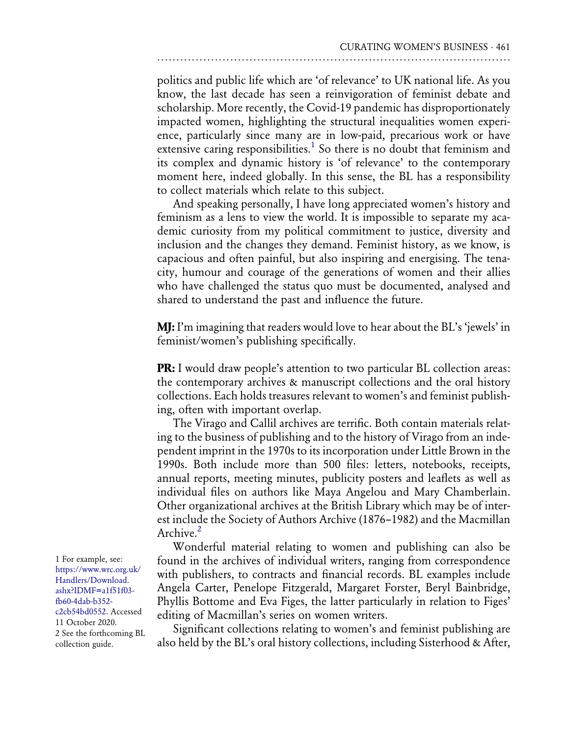politics and public life which are 'of relevance' to UK national life. As you know, the last decade has seen a reinvigoration of feminist debate and scholarship. More recently, the Covid-19 pandemic has disproportionately impacted women, highlighting the structural inequalities women experience, particularly since many are in low-paid, precarious work or have extensive caring responsibilities.<sup>1</sup> So there is no doubt that feminism and its complex and dynamic history is 'of relevance' to the contemporary moment here, indeed globally. In this sense, the BL has a responsibility to collect materials which relate to this subject.

And speaking personally, I have long appreciated women's history and feminism as a lens to view the world. It is impossible to separate my academic curiosity from my political commitment to justice, diversity and inclusion and the changes they demand. Feminist history, as we know, is capacious and often painful, but also inspiring and energising. The tenacity, humour and courage of the generations of women and their allies who have challenged the status quo must be documented, analysed and shared to understand the past and influence the future.

MJ: <sup>I</sup>'m imagining that readers would love to hear about the BL'<sup>s</sup> 'jewels' in feminist/women's publishing specifically.

**PR:** I would draw people's attention to two particular BL collection areas: the contemporary archives & manuscript collections and the oral history collections. Each holds treasures relevant to women's and feminist publishing, often with important overlap.

The Virago and Callil archives are terrific. Both contain materials relating to the business of publishing and to the history of Virago from an independent imprint in the 1970s to its incorporation under Little Brown in the 1990s. Both include more than 500 files: letters, notebooks, receipts, annual reports, meeting minutes, publicity posters and leaflets as well as individual files on authors like Maya Angelou and Mary Chamberlain. Other organizational archives at the British Library which may be of interest include the Society of Authors Archive (1876–1982) and the Macmillan Archive<sup>[2](#page-6-1)</sup>

Wonderful material relating to women and publishing can also be found in the archives of individual writers, ranging from correspondence with publishers, to contracts and financial records. BL examples include Angela Carter, Penelope Fitzgerald, Margaret Forster, Beryl Bainbridge, Phyllis Bottome and Eva Figes, the latter particularly in relation to Figes' editing of Macmillan's series on women writers.

Significant collections relating to women's and feminist publishing are also held by the BL's oral history collections, including Sisterhood & After,

<span id="page-6-1"></span><span id="page-6-0"></span>1 For example, see: [https://www.wrc.org.uk/](https://www.wrc.org.uk/Handlers/Download.ashx?IDMF=a1f51f03-fb60-4dab-b352-c2cb54bd0552) [Handlers/Download.](https://www.wrc.org.uk/Handlers/Download.ashx?IDMF=a1f51f03-fb60-4dab-b352-c2cb54bd0552) [ashx?IDMF=a1f51f03](https://www.wrc.org.uk/Handlers/Download.ashx?IDMF=a1f51f03-fb60-4dab-b352-c2cb54bd0552) [fb60-4dab-b352](https://www.wrc.org.uk/Handlers/Download.ashx?IDMF=a1f51f03-fb60-4dab-b352-c2cb54bd0552) [c2cb54bd0552](https://www.wrc.org.uk/Handlers/Download.ashx?IDMF=a1f51f03-fb60-4dab-b352-c2cb54bd0552). Accessed 11 October 2020. 2 See the forthcoming BL collection guide.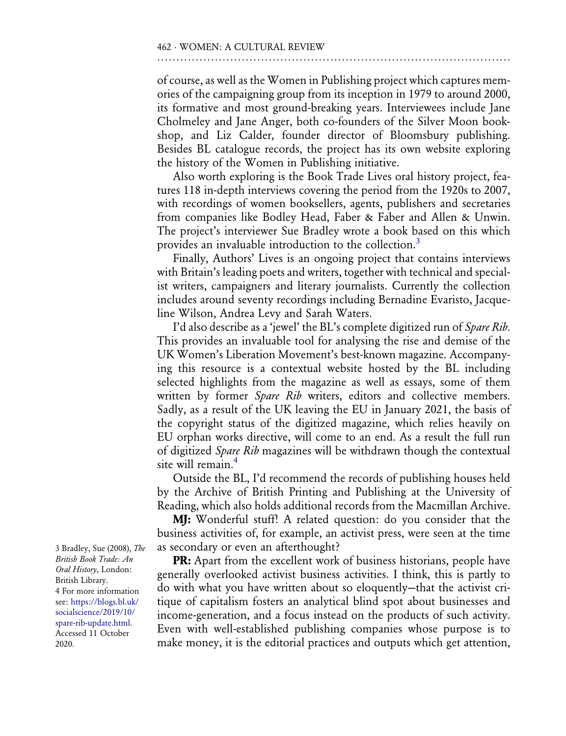of course, as well as the Women in Publishing project which captures memories of the campaigning group from its inception in 1979 to around 2000, its formative and most ground-breaking years. Interviewees include Jane Cholmeley and Jane Anger, both co-founders of the Silver Moon bookshop, and Liz Calder, founder director of Bloomsbury publishing. Besides BL catalogue records, the project has its own website exploring the history of the Women in Publishing initiative.

Also worth exploring is the Book Trade Lives oral history project, features 118 in-depth interviews covering the period from the 1920s to 2007, with recordings of women booksellers, agents, publishers and secretaries from companies like Bodley Head, Faber & Faber and Allen & Unwin. The project's interviewer Sue Bradley wrote a book based on this which provides an invaluable introduction to the collection.<sup>[3](#page-7-0)</sup>

Finally, Authors' Lives is an ongoing project that contains interviews with Britain's leading poets and writers, together with technical and specialist writers, campaigners and literary journalists. Currently the collection includes around seventy recordings including Bernadine Evaristo, Jacqueline Wilson, Andrea Levy and Sarah Waters.

I'd also describe as a 'jewel' the BL's complete digitized run of Spare Rib. This provides an invaluable tool for analysing the rise and demise of the UK Women's Liberation Movement's best-known magazine. Accompanying this resource is a contextual website hosted by the BL including selected highlights from the magazine as well as essays, some of them written by former Spare Rib writers, editors and collective members. Sadly, as a result of the UK leaving the EU in January 2021, the basis of the copyright status of the digitized magazine, which relies heavily on EU orphan works directive, will come to an end. As a result the full run of digitized Spare Rib magazines will be withdrawn though the contextual site will remain.<sup>4</sup>

Outside the BL, I'd recommend the records of publishing houses held by the Archive of British Printing and Publishing at the University of Reading, which also holds additional records from the Macmillan Archive.

MJ: Wonderful stuff! A related question: do you consider that the business activities of, for example, an activist press, were seen at the time as secondary or even an afterthought?

**PR:** Apart from the excellent work of business historians, people have generally overlooked activist business activities. I think, this is partly to do with what you have written about so eloquently—that the activist critique of capitalism fosters an analytical blind spot about businesses and income-generation, and a focus instead on the products of such activity. Even with well-established publishing companies whose purpose is to make money, it is the editorial practices and outputs which get attention,

<span id="page-7-1"></span><span id="page-7-0"></span>3 Bradley, Sue (2008), The British Book Trade: An Oral History, London: British Library. 4 For more information see: [https://blogs.bl.uk/](https://blogs.bl.uk/socialscience/2019/10/spare-rib-update.html) [socialscience/2019/10/](https://blogs.bl.uk/socialscience/2019/10/spare-rib-update.html) [spare-rib-update.html](https://blogs.bl.uk/socialscience/2019/10/spare-rib-update.html). Accessed 11 October 2020.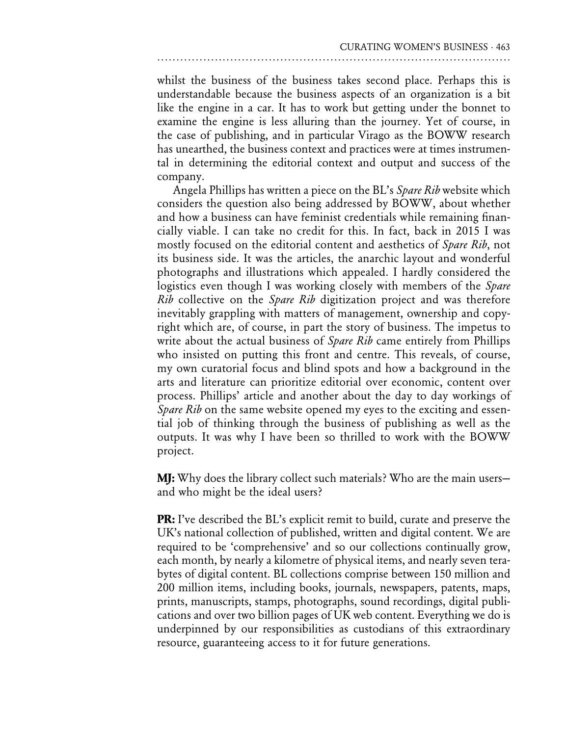whilst the business of the business takes second place. Perhaps this is understandable because the business aspects of an organization is a bit like the engine in a car. It has to work but getting under the bonnet to examine the engine is less alluring than the journey. Yet of course, in the case of publishing, and in particular Virago as the BOWW research has unearthed, the business context and practices were at times instrumental in determining the editorial context and output and success of the company.

Angela Phillips has written a piece on the BL's Spare Rib website which considers the question also being addressed by BOWW, about whether and how a business can have feminist credentials while remaining financially viable. I can take no credit for this. In fact, back in 2015 I was mostly focused on the editorial content and aesthetics of *Spare Rib*, not its business side. It was the articles, the anarchic layout and wonderful photographs and illustrations which appealed. I hardly considered the logistics even though I was working closely with members of the Spare *Rib* collective on the *Spare Rib* digitization project and was therefore inevitably grappling with matters of management, ownership and copyright which are, of course, in part the story of business. The impetus to write about the actual business of *Spare Rib* came entirely from Phillips who insisted on putting this front and centre. This reveals, of course, my own curatorial focus and blind spots and how a background in the arts and literature can prioritize editorial over economic, content over process. Phillips' article and another about the day to day workings of Spare Rib on the same website opened my eyes to the exciting and essential job of thinking through the business of publishing as well as the outputs. It was why I have been so thrilled to work with the BOWW project.

MJ: Why does the library collect such materials? Who are the main users and who might be the ideal users?

PR: <sup>I</sup>'ve described the BL's explicit remit to build, curate and preserve the UK's national collection of published, written and digital content. We are required to be 'comprehensive' and so our collections continually grow, each month, by nearly a kilometre of physical items, and nearly seven terabytes of digital content. BL collections comprise between 150 million and 200 million items, including books, journals, newspapers, patents, maps, prints, manuscripts, stamps, photographs, sound recordings, digital publications and over two billion pages of UK web content. Everything we do is underpinned by our responsibilities as custodians of this extraordinary resource, guaranteeing access to it for future generations.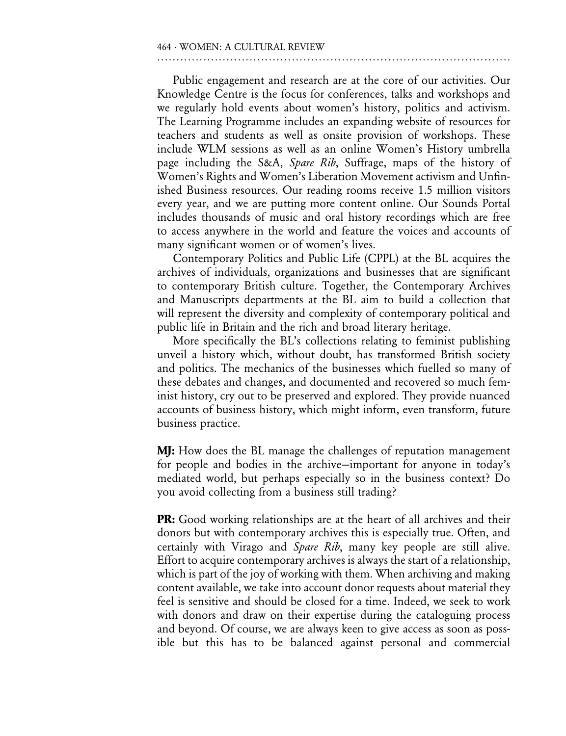Public engagement and research are at the core of our activities. Our Knowledge Centre is the focus for conferences, talks and workshops and we regularly hold events about women's history, politics and activism. The Learning Programme includes an expanding website of resources for teachers and students as well as onsite provision of workshops. These include WLM sessions as well as an online Women's History umbrella page including the S&A, Spare Rib, Suffrage, maps of the history of Women's Rights and Women's Liberation Movement activism and Unfinished Business resources. Our reading rooms receive 1.5 million visitors every year, and we are putting more content online. Our Sounds Portal includes thousands of music and oral history recordings which are free to access anywhere in the world and feature the voices and accounts of many significant women or of women's lives.

Contemporary Politics and Public Life (CPPL) at the BL acquires the archives of individuals, organizations and businesses that are significant to contemporary British culture. Together, the Contemporary Archives and Manuscripts departments at the BL aim to build a collection that will represent the diversity and complexity of contemporary political and public life in Britain and the rich and broad literary heritage.

More specifically the BL's collections relating to feminist publishing unveil a history which, without doubt, has transformed British society and politics. The mechanics of the businesses which fuelled so many of these debates and changes, and documented and recovered so much feminist history, cry out to be preserved and explored. They provide nuanced accounts of business history, which might inform, even transform, future business practice.

**MJ:** How does the BL manage the challenges of reputation management for people and bodies in the archive—important for anyone in today's mediated world, but perhaps especially so in the business context? Do you avoid collecting from a business still trading?

PR: Good working relationships are at the heart of all archives and their donors but with contemporary archives this is especially true. Often, and certainly with Virago and Spare Rib, many key people are still alive. Effort to acquire contemporary archives is always the start of a relationship, which is part of the joy of working with them. When archiving and making content available, we take into account donor requests about material they feel is sensitive and should be closed for a time. Indeed, we seek to work with donors and draw on their expertise during the cataloguing process and beyond. Of course, we are always keen to give access as soon as possible but this has to be balanced against personal and commercial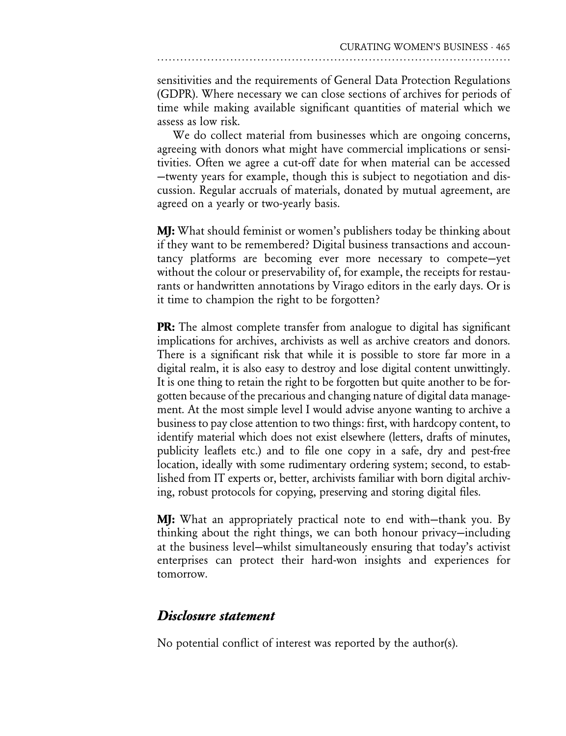sensitivities and the requirements of General Data Protection Regulations (GDPR). Where necessary we can close sections of archives for periods of time while making available significant quantities of material which we assess as low risk.

We do collect material from businesses which are ongoing concerns, agreeing with donors what might have commercial implications or sensitivities. Often we agree a cut-off date for when material can be accessed —twenty years for example, though this is subject to negotiation and discussion. Regular accruals of materials, donated by mutual agreement, are agreed on a yearly or two-yearly basis.

MJ: What should feminist or women's publishers today be thinking about if they want to be remembered? Digital business transactions and accountancy platforms are becoming ever more necessary to compete—yet without the colour or preservability of, for example, the receipts for restaurants or handwritten annotations by Virago editors in the early days. Or is it time to champion the right to be forgotten?

PR: The almost complete transfer from analogue to digital has significant implications for archives, archivists as well as archive creators and donors. There is a significant risk that while it is possible to store far more in a digital realm, it is also easy to destroy and lose digital content unwittingly. It is one thing to retain the right to be forgotten but quite another to be forgotten because of the precarious and changing nature of digital data management. At the most simple level I would advise anyone wanting to archive a business to pay close attention to two things: first, with hardcopy content, to identify material which does not exist elsewhere (letters, drafts of minutes, publicity leaflets etc.) and to file one copy in a safe, dry and pest-free location, ideally with some rudimentary ordering system; second, to established from IT experts or, better, archivists familiar with born digital archiving, robust protocols for copying, preserving and storing digital files.

MJ: What an appropriately practical note to end with—thank you. By thinking about the right things, we can both honour privacy—including at the business level—whilst simultaneously ensuring that today's activist enterprises can protect their hard-won insights and experiences for tomorrow.

#### Disclosure statement

No potential conflict of interest was reported by the author(s).